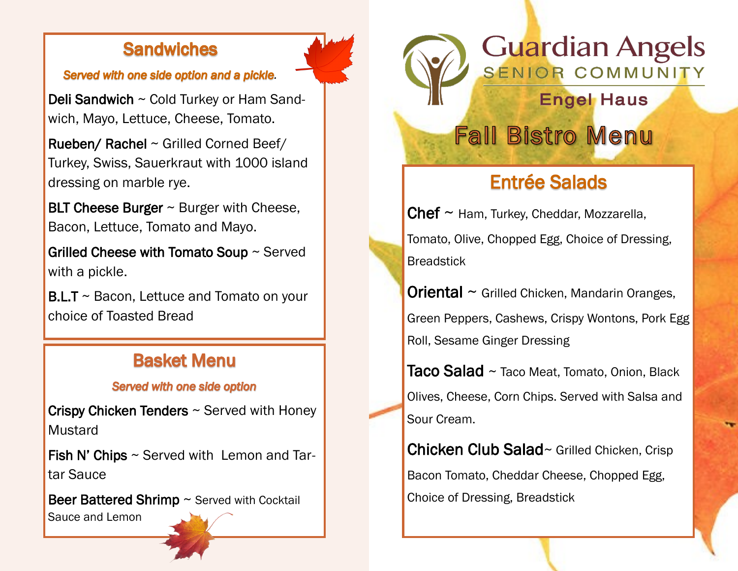### **Sandwiches**

#### **Served with one side option and a pickle.**

Deli Sandwich ~ Cold Turkey or Ham Sandwich, Mayo, Lettuce, Cheese, Tomato.

Rueben/ Rachel ~ Grilled Corned Beef/ Turkey, Swiss, Sauerkraut with 1000 island dressing on marble rye.

BLT Cheese Burger  $\sim$  Burger with Cheese, Bacon, Lettuce, Tomato and Mayo.

Grilled Cheese with Tomato Soup ~ Served with a pickle.

 $B.L.T \sim$  Bacon, Lettuce and Tomato on your choice of Toasted Bread

## **Basket Menu**

#### **Served with one side option**

Crispy Chicken Tenders ~ Served with Honey **Mustard** 

**Fish N' Chips**  $\sim$  **Served with Lemon and Tar**tar Sauce

Beer Battered Shrimp ~ Served with Cocktail

Sauce and Lemon

# **Guardian Angels** SENIOR COMMUNITY

**Engel Haus** 

**Fall Bistro Menu** 

# **Entrée Salads**

 $Chef \sim$  Ham, Turkey, Cheddar, Mozzarella, Tomato, Olive, Chopped Egg, Choice of Dressing, **Breadstick** 

**Oriental**  $\sim$  Grilled Chicken, Mandarin Oranges, Green Peppers, Cashews, Crispy Wontons, Pork Egg Roll, Sesame Ginger Dressing

Taco Salad ~ Taco Meat, Tomato, Onion, Black Olives, Cheese, Corn Chips. Served with Salsa and Sour Cream.

Chicken Club Salad~ Grilled Chicken, Crisp Bacon Tomato, Cheddar Cheese, Chopped Egg, Choice of Dressing, Breadstick